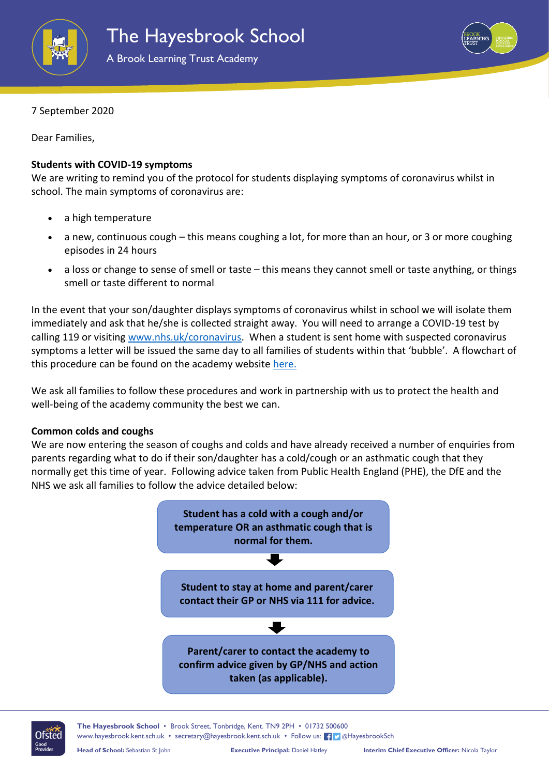



7 September 2020

Dear Families,

## **Students with COVID-19 symptoms**

We are writing to remind you of the protocol for students displaying symptoms of coronavirus whilst in school. The main symptoms of coronavirus are:

- a high temperature
- a new, continuous cough this means coughing a lot, for more than an hour, or 3 or more coughing episodes in 24 hours
- a loss or change to sense of smell or taste this means they cannot smell or taste anything, or things smell or taste different to normal

In the event that your son/daughter displays symptoms of coronavirus whilst in school we will isolate them immediately and ask that he/she is collected straight away. You will need to arrange a COVID-19 test by calling 119 or visiting [www.nhs.uk/coronavirus.](http://www.nhs.uk/coronavirus) When a student is sent home with suspected coronavirus symptoms a letter will be issued the same day to all families of students within that 'bubble'. A flowchart of this procedure can be found on the academy website [here.](https://www.hayesbrook.kent.sch.uk/attachments/download.asp?file=607&type=pdf)

We ask all families to follow these procedures and work in partnership with us to protect the health and well-being of the academy community the best we can.

## **Common colds and coughs**

We are now entering the season of coughs and colds and have already received a number of enquiries from parents regarding what to do if their son/daughter has a cold/cough or an asthmatic cough that they normally get this time of year. Following advice taken from Public Health England (PHE), the DfE and the NHS we ask all families to follow the advice detailed below:





**The Hayesbrook School** • Brook Street, Tonbridge, Kent. TN9 2PH • 01732 500600 [www.hayesbrook.kent.sch.uk](http://www.hayesbrook.kent.sch.uk/) • [secretary@hayesbrook.kent.sch.uk](mailto:secretary@hayesbrook.kent.sch.uk) • Follow us: [1] @HayesbrookSch